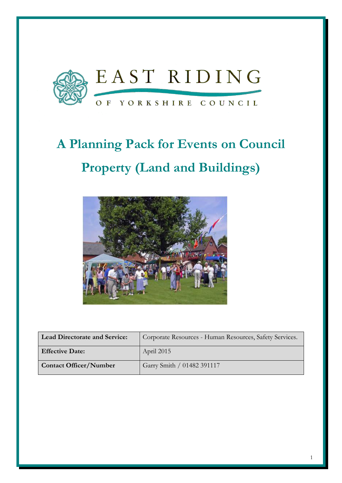

# **A Planning Pack for Events on Council Property (Land and Buildings)**



| <b>Lead Directorate and Service:</b> | Corporate Resources - Human Resources, Safety Services. |
|--------------------------------------|---------------------------------------------------------|
| <b>Effective Date:</b>               | April 2015                                              |
| <b>Contact Officer/Number</b>        | Garry Smith / 01482 391117                              |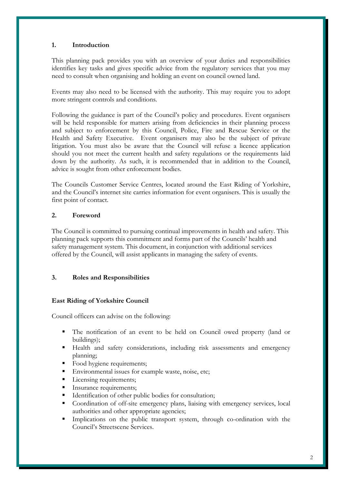#### **1. Introduction**

This planning pack provides you with an overview of your duties and responsibilities identifies key tasks and gives specific advice from the regulatory services that you may need to consult when organising and holding an event on council owned land.

Events may also need to be licensed with the authority. This may require you to adopt more stringent controls and conditions.

Following the guidance is part of the Council's policy and procedures. Event organisers will be held responsible for matters arising from deficiencies in their planning process and subject to enforcement by this Council, Police, Fire and Rescue Service or the Health and Safety Executive. Event organisers may also be the subject of private litigation. You must also be aware that the Council will refuse a licence application should you not meet the current health and safety regulations or the requirements laid down by the authority. As such, it is recommended that in addition to the Council, advice is sought from other enforcement bodies.

The Councils Customer Service Centres, located around the East Riding of Yorkshire, and the Council's internet site carries information for event organisers. This is usually the first point of contact.

#### **2. Foreword**

The Council is committed to pursuing continual improvements in health and safety. This planning pack supports this commitment and forms part of the Councils' health and safety management system. This document, in conjunction with additional services offered by the Council, will assist applicants in managing the safety of events.

#### **3. Roles and Responsibilities**

#### **East Riding of Yorkshire Council**

Council officers can advise on the following:

- The notification of an event to be held on Council owed property (land or buildings);
- Health and safety considerations, including risk assessments and emergency planning;
- Food hygiene requirements;
- Environmental issues for example waste, noise, etc;
- Licensing requirements;
- Insurance requirements;
- Identification of other public bodies for consultation;
- Coordination of off-site emergency plans, liaising with emergency services, local authorities and other appropriate agencies;
- Implications on the public transport system, through co-ordination with the Council's Streetscene Services.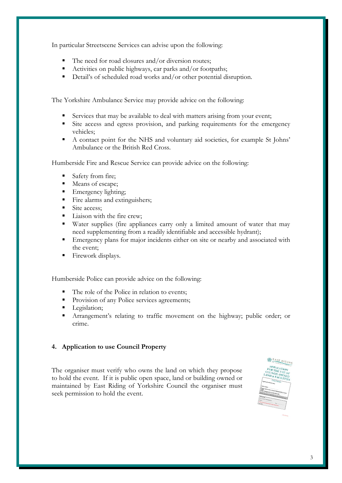In particular Streetscene Services can advise upon the following:

- The need for road closures and/or diversion routes;
- Activities on public highways, car parks and/or footpaths;
- Detail's of scheduled road works and/or other potential disruption.

The Yorkshire Ambulance Service may provide advice on the following:

- Services that may be available to deal with matters arising from your event;
- Site access and egress provision, and parking requirements for the emergency vehicles;
- A contact point for the NHS and voluntary aid societies, for example St Johns' Ambulance or the British Red Cross.

Humberside Fire and Rescue Service can provide advice on the following:

- Safety from fire;
- Means of escape;
- Emergency lighting;
- Fire alarms and extinguishers;
- Site access;
- Liaison with the fire crew;
- Water supplies (fire appliances carry only a limited amount of water that may need supplementing from a readily identifiable and accessible hydrant);
- Emergency plans for major incidents either on site or nearby and associated with the event;
- Firework displays.

Humberside Police can provide advice on the following:

- The role of the Police in relation to events;
- Provision of any Police services agreements;
- Legislation;
- Arrangement's relating to traffic movement on the highway; public order; or crime.

#### **4. Application to use Council Property**

The organiser must verify who owns the land on which they propose to hold the event. If it is public open space, land or building owned or maintained by East Riding of Yorkshire Council the organiser must seek permission to hold the event.

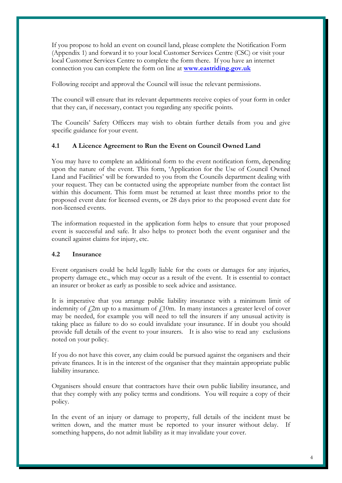If you propose to hold an event on council land, please complete the Notification Form (Appendix 1) and forward it to your local Customer Services Centre (CSC) or visit your local Customer Services Centre to complete the form there. If you have an internet connection you can complete the form on line at **[www.eastriding.gov.uk](http://www.eastriding.gov.uk/)**

Following receipt and approval the Council will issue the relevant permissions.

The council will ensure that its relevant departments receive copies of your form in order that they can, if necessary, contact you regarding any specific points.

The Councils' Safety Officers may wish to obtain further details from you and give specific guidance for your event.

#### **4.1 A Licence Agreement to Run the Event on Council Owned Land**

You may have to complete an additional form to the event notification form, depending upon the nature of the event. This form, 'Application for the Use of Council Owned Land and Facilities' will be forwarded to you from the Councils department dealing with your request. They can be contacted using the appropriate number from the contact list within this document. This form must be returned at least three months prior to the proposed event date for licensed events, or 28 days prior to the proposed event date for non-licensed events.

The information requested in the application form helps to ensure that your proposed event is successful and safe. It also helps to protect both the event organiser and the council against claims for injury, etc.

#### **4.2 Insurance**

Event organisers could be held legally liable for the costs or damages for any injuries, property damage etc., which may occur as a result of the event. It is essential to contact an insurer or broker as early as possible to seek advice and assistance.

It is imperative that you arrange public liability insurance with a minimum limit of indemnity of  $\ell_{2m}$  up to a maximum of  $\ell_{10m}$ . In many instances a greater level of cover may be needed, for example you will need to tell the insurers if any unusual activity is taking place as failure to do so could invalidate your insurance. If in doubt you should provide full details of the event to your insurers. It is also wise to read any exclusions noted on your policy.

If you do not have this cover, any claim could be pursued against the organisers and their private finances. It is in the interest of the organiser that they maintain appropriate public liability insurance.

Organisers should ensure that contractors have their own public liability insurance, and that they comply with any policy terms and conditions. You will require a copy of their policy.

In the event of an injury or damage to property, full details of the incident must be written down, and the matter must be reported to your insurer without delay. If something happens, do not admit liability as it may invalidate your cover.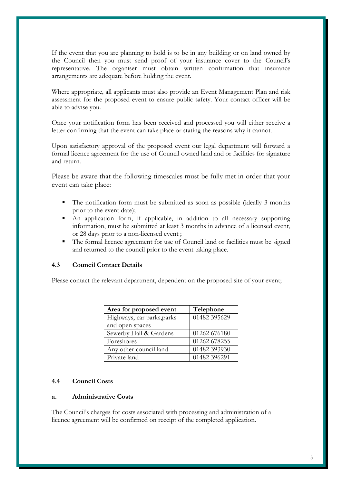If the event that you are planning to hold is to be in any building or on land owned by the Council then you must send proof of your insurance cover to the Council's representative. The organiser must obtain written confirmation that insurance arrangements are adequate before holding the event.

Where appropriate, all applicants must also provide an Event Management Plan and risk assessment for the proposed event to ensure public safety. Your contact officer will be able to advise you.

Once your notification form has been received and processed you will either receive a letter confirming that the event can take place or stating the reasons why it cannot.

Upon satisfactory approval of the proposed event our legal department will forward a formal licence agreement for the use of Council owned land and or facilities for signature and return.

Please be aware that the following timescales must be fully met in order that your event can take place:

- The notification form must be submitted as soon as possible (ideally 3 months prior to the event date);
- An application form, if applicable, in addition to all necessary supporting information, must be submitted at least 3 months in advance of a licensed event, or 28 days prior to a non-licensed event ;
- The formal licence agreement for use of Council land or facilities must be signed and returned to the council prior to the event taking place.

#### **4.3 Council Contact Details**

Please contact the relevant department, dependent on the proposed site of your event;

| Area for proposed event    | Telephone    |
|----------------------------|--------------|
| Highways, car parks, parks | 01482 395629 |
| and open spaces            |              |
| Sewerby Hall & Gardens     | 01262 676180 |
| Foreshores                 | 01262 678255 |
| Any other council land     | 01482 393930 |
| Private land               | 01482 396291 |

#### **4.4 Council Costs**

#### **a. Administrative Costs**

The Council's charges for costs associated with processing and administration of a licence agreement will be confirmed on receipt of the completed application.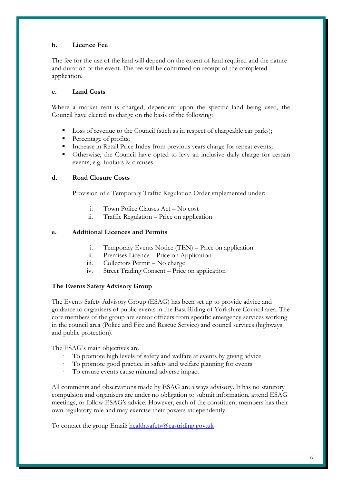#### **b. Licence Fee**

The fee for the use of the land will depend on the extent of land required and the nature and duration of the event. The fee will be confirmed on receipt of the completed application.

#### **c. Land Costs**

Where a market rent is charged, dependent upon the specific land being used, the Council have elected to charge on the basis of the following:

- Loss of revenue to the Council (such as in respect of chargeable car parks);
- Percentage of profits;
- Increase in Retail Price Index from previous years charge for repeat events;
- Otherwise, the Council have opted to levy an inclusive daily charge for certain events, e.g. funfairs & circuses.

#### **d. Road Closure Costs**

Provision of a Temporary Traffic Regulation Order implemented under:

- i. Town Police Clauses Act No cost<br>ii. Traffic Regulation Price on applica
- ii. Traffic Regulation Price on application

#### **e. Additional Licences and Permits**

- i. Temporary Events Notice (TEN) Price on application
- ii. Premises Licence Price on Application
- iii. Collectors Permit No charge
- iv. Street Trading Consent Price on application

#### **The Events Safety Advisory Group**

The Events Safety Advisory Group (ESAG) has been set up to provide advice and guidance to organisers of public events in the East Riding of Yorkshire Council area. The core members of the group are senior officers from specific emergency services working in the council area (Police and Fire and Rescue Service) and council services (highways and public protection).

The ESAG's main objectives are

- To promote high levels of safety and welfare at events by giving advice
- To promote good practice in safety and welfare planning for events
- To ensure events cause minimal adverse impact

All comments and observations made by ESAG are always advisory. It has no statutory compulsion and organisers are under no obligation to submit information, attend ESAG meetings, or follow ESAG's advice. However, each of the constituent members has their own regulatory role and may exercise their powers independently.

To contact the group Email: [health.safety@eastriding.gov.uk](mailto:health.safety@eastriding.gov.uk?subject=Query%20from%20eastriding.gov.uk)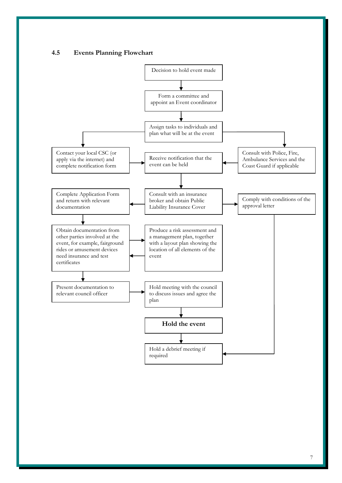



7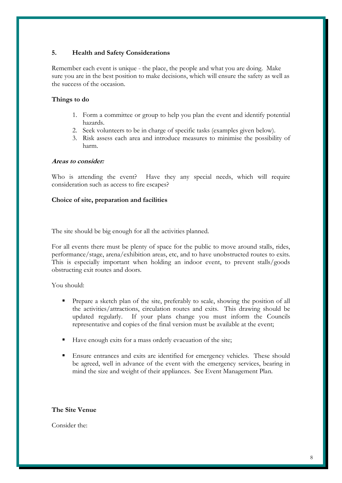#### **5. Health and Safety Considerations**

Remember each event is unique - the place, the people and what you are doing. Make sure you are in the best position to make decisions, which will ensure the safety as well as the success of the occasion.

#### **Things to do**

- 1. Form a committee or group to help you plan the event and identify potential hazards.
- 2. Seek volunteers to be in charge of specific tasks (examples given below).
- 3. Risk assess each area and introduce measures to minimise the possibility of harm.

#### **Areas to consider:**

Who is attending the event? Have they any special needs, which will require consideration such as access to fire escapes?

#### **Choice of site, preparation and facilities**

The site should be big enough for all the activities planned.

For all events there must be plenty of space for the public to move around stalls, rides, performance/stage, arena/exhibition areas, etc, and to have unobstructed routes to exits. This is especially important when holding an indoor event, to prevent stalls/goods obstructing exit routes and doors.

You should:

- Prepare a sketch plan of the site, preferably to scale, showing the position of all the activities/attractions, circulation routes and exits. This drawing should be updated regularly. If your plans change you must inform the Councils representative and copies of the final version must be available at the event;
- Have enough exits for a mass orderly evacuation of the site;
- Ensure entrances and exits are identified for emergency vehicles. These should be agreed, well in advance of the event with the emergency services, bearing in mind the size and weight of their appliances. See Event Management Plan.

#### **The Site Venue**

Consider the: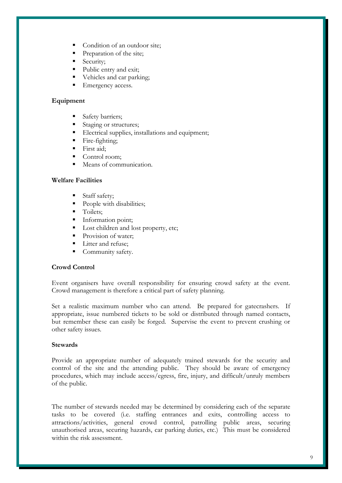- Condition of an outdoor site;
- Preparation of the site;
- Security;
- Public entry and exit;
- Vehicles and car parking;
- Emergency access.

#### **Equipment**

- Safety barriers;
- Staging or structures;
- Electrical supplies, installations and equipment;
- Fire-fighting;
- First aid;
- Control room;
- Means of communication.

#### **Welfare Facilities**

- Staff safety;
- People with disabilities;
- **Toilets:**
- Information point;
- Lost children and lost property, etc;
- Provision of water;
- Litter and refuse;
- **Community safety.**

#### **Crowd Control**

Event organisers have overall responsibility for ensuring crowd safety at the event. Crowd management is therefore a critical part of safety planning.

Set a realistic maximum number who can attend. Be prepared for gatecrashers. If appropriate, issue numbered tickets to be sold or distributed through named contacts, but remember these can easily be forged. Supervise the event to prevent crushing or other safety issues.

#### **Stewards**

Provide an appropriate number of adequately trained stewards for the security and control of the site and the attending public. They should be aware of emergency procedures, which may include access/egress, fire, injury, and difficult/unruly members of the public.

The number of stewards needed may be determined by considering each of the separate tasks to be covered (i.e. staffing entrances and exits, controlling access to attractions/activities, general crowd control, patrolling public areas, securing unauthorised areas, securing hazards, car parking duties, etc.) This must be considered within the risk assessment.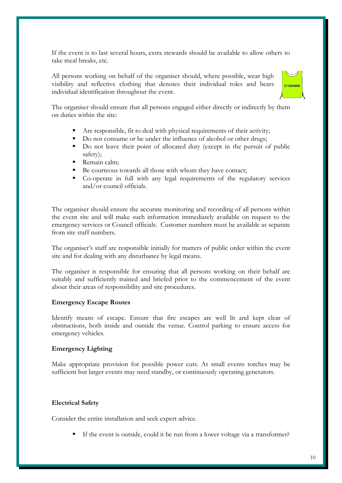If the event is to last several hours, extra stewards should be available to allow others to take meal breaks, etc.

All persons working on behalf of the organiser should, where possible, wear high visibility and reflective clothing that denotes their individual roles and bears individual identification throughout the event.



The organiser should ensure that all persons engaged either directly or indirectly by them on duties within the site:

- Are responsible, fit to deal with physical requirements of their activity;
- Do not consume or be under the influence of alcohol or other drugs;
- Do not leave their point of allocated duty (except in the pursuit of public safety);
- Remain calm;
- Be courteous towards all those with whom they have contact;
- Co-operate in full with any legal requirements of the regulatory services and/or council officials.

The organiser should ensure the accurate monitoring and recording of all persons within the event site and will make such information immediately available on request to the emergency services or Council officials. Customer numbers must be available as separate from site staff numbers.

The organiser's staff are responsible initially for matters of public order within the event site and for dealing with any disturbance by legal means.

The organiser is responsible for ensuring that all persons working on their behalf are suitably and sufficiently trained and briefed prior to the commencement of the event about their areas of responsibility and site procedures.

#### **Emergency Escape Routes**

Identify means of escape. Ensure that fire escapes are well lit and kept clear of obstructions, both inside and outside the venue. Control parking to ensure access for emergency vehicles.

#### **Emergency Lighting**

Make appropriate provision for possible power cuts. At small events torches may be sufficient but larger events may need standby, or continuously operating generators.

#### **Electrical Safety**

Consider the entire installation and seek expert advice.

If the event is outside, could it be run from a lower voltage via a transformer?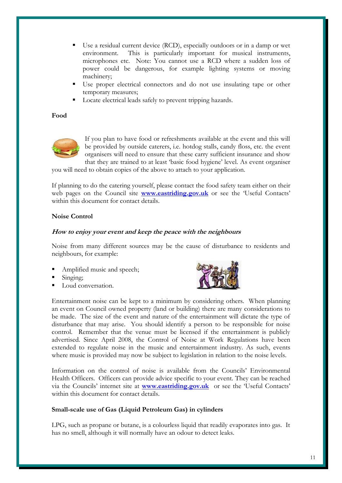- Use a residual current device (RCD), especially outdoors or in a damp or wet environment. This is particularly important for musical instruments, microphones etc. Note: You cannot use a RCD where a sudden loss of power could be dangerous, for example lighting systems or moving machinery;
- Use proper electrical connectors and do not use insulating tape or other temporary measures;
- Locate electrical leads safely to prevent tripping hazards.

#### **Food**



If you plan to have food or refreshments available at the event and this will be provided by outside caterers, i.e. hotdog stalls, candy floss, etc. the event organisers will need to ensure that these carry sufficient insurance and show that they are trained to at least 'basic food hygiene' level. As event organiser

you will need to obtain copies of the above to attach to your application.

If planning to do the catering yourself, please contact the food safety team either on their web pages on the Council site **[www.eastriding.gov.uk](http://www.eastriding.gov.uk/)** or see the 'Useful Contacts' within this document for contact details.

#### **Noise Control**

#### **How to enjoy your event and keep the peace with the neighbours**

Noise from many different sources may be the cause of disturbance to residents and neighbours, for example:

- Amplified music and speech;
- Singing;
- Loud conversation.



Entertainment noise can be kept to a minimum by considering others. When planning an event on Council owned property (land or building) there are many considerations to be made. The size of the event and nature of the entertainment will dictate the type of disturbance that may arise. You should identify a person to be responsible for noise control. Remember that the venue must be licensed if the entertainment is publicly advertised. Since April 2008, the Control of Noise at Work Regulations have been extended to regulate noise in the music and entertainment industry. As such, events where music is provided may now be subject to legislation in relation to the noise levels.

Information on the control of noise is available from the Councils' Environmental Health Officers. Officers can provide advice specific to your event. They can be reached via the Councils' internet site at **[www.eastriding.gov.uk](http://www.eastriding.gov.uk/)** or see the 'Useful Contacts' within this document for contact details.

#### **Small-scale use of Gas (Liquid Petroleum Gas) in cylinders**

LPG, such as propane or butane, is a colourless liquid that readily evaporates into gas. It has no smell, although it will normally have an odour to detect leaks.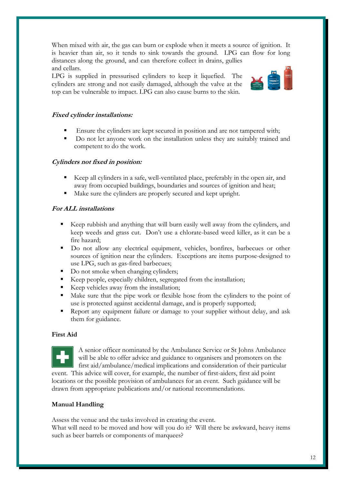When mixed with air, the gas can burn or explode when it meets a source of ignition. It is heavier than air, so it tends to sink towards the ground. LPG can flow for long distances along the ground, and can therefore collect in drains, gullies and cellars.

LPG is supplied in pressurised cylinders to keep it liquefied. The cylinders are strong and not easily damaged, although the valve at the top can be vulnerable to impact. LPG can also cause burns to the skin.



#### **Fixed cylinder installations:**

- Ensure the cylinders are kept secured in position and are not tampered with;
- Do not let anyone work on the installation unless they are suitably trained and competent to do the work.

#### **Cylinders not fixed in position:**

- Keep all cylinders in a safe, well-ventilated place, preferably in the open air, and away from occupied buildings, boundaries and sources of ignition and heat;
- Make sure the cylinders are properly secured and kept upright.

#### **For ALL installations**

- Keep rubbish and anything that will burn easily well away from the cylinders, and keep weeds and grass cut. Don't use a chlorate-based weed killer, as it can be a fire hazard;
- Do not allow any electrical equipment, vehicles, bonfires, barbecues or other sources of ignition near the cylinders. Exceptions are items purpose-designed to use LPG, such as gas-fired barbecues;
- Do not smoke when changing cylinders;
- Keep people, especially children, segregated from the installation;
- Keep vehicles away from the installation;
- Make sure that the pipe work or flexible hose from the cylinders to the point of use is protected against accidental damage, and is properly supported;
- Report any equipment failure or damage to your supplier without delay, and ask them for guidance.

#### **First Aid**



A senior officer nominated by the Ambulance Service or St Johns Ambulance will be able to offer advice and guidance to organisers and promoters on the first aid/ambulance/medical implications and consideration of their particular event. This advice will cover, for example, the number of first-aiders, first aid point

locations or the possible provision of ambulances for an event. Such guidance will be drawn from appropriate publications and/or national recommendations.

#### **Manual Handling**

Assess the venue and the tasks involved in creating the event.

What will need to be moved and how will you do it? Will there be awkward, heavy items such as beer barrels or components of marquees?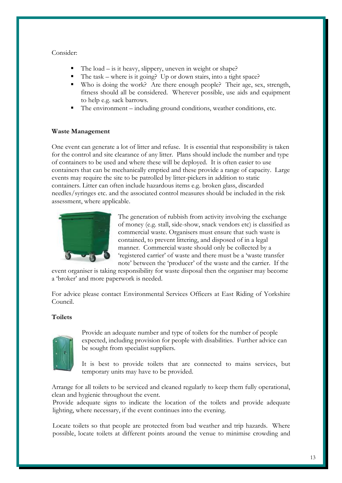#### Consider:

- The load is it heavy, slippery, uneven in weight or shape?
- The task where is it going? Up or down stairs, into a tight space?
- Who is doing the work? Are there enough people? Their age, sex, strength, fitness should all be considered. Wherever possible, use aids and equipment to help e.g. sack barrows.
- The environment including ground conditions, weather conditions, etc.

#### **Waste Management**

One event can generate a lot of litter and refuse. It is essential that responsibility is taken for the control and site clearance of any litter. Plans should include the number and type of containers to be used and where these will be deployed. It is often easier to use containers that can be mechanically emptied and these provide a range of capacity. Large events may require the site to be patrolled by litter-pickers in addition to static containers. Litter can often include hazardous items e.g. broken glass, discarded needles/syringes etc. and the associated control measures should be included in the risk assessment, where applicable.



The generation of rubbish from activity involving the exchange of money (e.g. stall, side-show, snack vendors etc) is classified as commercial waste. Organisers must ensure that such waste is contained, to prevent littering, and disposed of in a legal manner. Commercial waste should only be collected by a 'registered carrier' of waste and there must be a 'waste transfer note' between the 'producer' of the waste and the carrier. If the

event organiser is taking responsibility for waste disposal then the organiser may become a 'broker' and more paperwork is needed.

For advice please contact Environmental Services Officers at East Riding of Yorkshire Council.

#### **Toilets**



Provide an adequate number and type of toilets for the number of people expected, including provision for people with disabilities. Further advice can be sought from specialist suppliers.

It is best to provide toilets that are connected to mains services, but temporary units may have to be provided.

Arrange for all toilets to be serviced and cleaned regularly to keep them fully operational, clean and hygienic throughout the event.

Provide adequate signs to indicate the location of the toilets and provide adequate lighting, where necessary, if the event continues into the evening.

Locate toilets so that people are protected from bad weather and trip hazards. Where possible, locate toilets at different points around the venue to minimise crowding and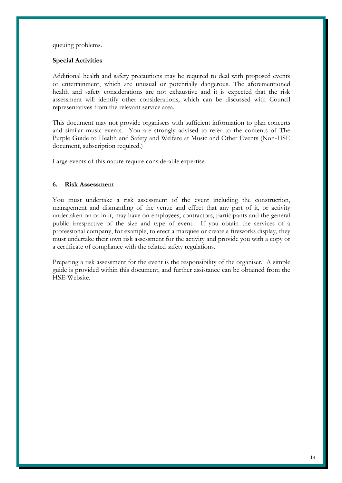queuing problems.

#### **Special Activities**

Additional health and safety precautions may be required to deal with proposed events or entertainment, which are unusual or potentially dangerous. The aforementioned health and safety considerations are not exhaustive and it is expected that the risk assessment will identify other considerations, which can be discussed with Council representatives from the relevant service area.

This document may not provide organisers with sufficient information to plan concerts and similar music events. You are strongly advised to refer to the contents of The Purple Guide to Health and Safety and Welfare at Music and Other Events (Non-HSE document, subscription required.)

Large events of this nature require considerable expertise.

#### **6. Risk Assessment**

You must undertake a risk assessment of the event including the construction, management and dismantling of the venue and effect that any part of it, or activity undertaken on or in it, may have on employees, contractors, participants and the general public irrespective of the size and type of event. If you obtain the services of a professional company, for example, to erect a marquee or create a fireworks display, they must undertake their own risk assessment for the activity and provide you with a copy or a certificate of compliance with the related safety regulations.

Preparing a risk assessment for the event is the responsibility of the organiser. A simple guide is provided within this document, and further assistance can be obtained from the HSE Website.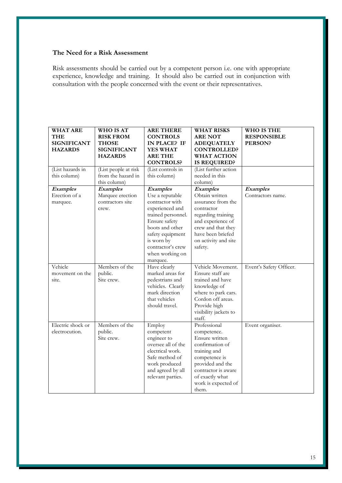#### **The Need for a Risk Assessment**

Risk assessments should be carried out by a competent person i.e. one with appropriate experience, knowledge and training. It should also be carried out in conjunction with consultation with the people concerned with the event or their representatives.

| <b>WHAT ARE</b><br>THE<br><b>SIGNIFICANT</b><br><b>HAZARDS</b> | <b>WHO IS AT</b><br><b>RISK FROM</b><br><b>THOSE</b><br><b>SIGNIFICANT</b><br><b>HAZARDS</b> | <b>ARE THERE</b><br><b>CONTROLS</b><br>IN PLACE? IF<br><b>YES WHAT</b><br><b>ARE THE</b>                                                                                                                     | <b>WHAT RISKS</b><br><b>ARE NOT</b><br><b>ADEQUATELY</b><br><b>CONTROLLED?</b><br><b>WHAT ACTION</b>                                                                                            | <b>WHO IS THE</b><br><b>RESPONSIBLE</b><br><b>PERSON?</b> |
|----------------------------------------------------------------|----------------------------------------------------------------------------------------------|--------------------------------------------------------------------------------------------------------------------------------------------------------------------------------------------------------------|-------------------------------------------------------------------------------------------------------------------------------------------------------------------------------------------------|-----------------------------------------------------------|
|                                                                |                                                                                              | <b>CONTROLS?</b>                                                                                                                                                                                             | <b>IS REQUIRED?</b>                                                                                                                                                                             |                                                           |
| (List hazards in<br>this column)                               | (List people at risk<br>from the hazard in<br>this column)                                   | (List controls in<br>this column)                                                                                                                                                                            | (List further action<br>needed in this<br>column)                                                                                                                                               |                                                           |
| Examples<br>Erection of a<br>marquee.                          | <b>Examples</b><br>Marquee erection<br>contractors site<br>crew.                             | <b>Examples</b><br>Use a reputable<br>contractor with<br>experienced and<br>trained personnel.<br>Ensure safety<br>boots and other<br>safety equipment<br>is worn by<br>contractor's crew<br>when working on | Examples<br>Obtain written<br>assurance from the<br>contractor<br>regarding training<br>and experience of<br>crew and that they<br>have been briefed<br>on activity and site<br>safety.         | <b>Examples</b><br>Contractors name.                      |
| Vehicle<br>movement on the<br>site.                            | Members of the<br>public.<br>Site crew.                                                      | marquee.<br>Have clearly<br>marked areas for<br>pedestrians and<br>vehicles. Clearly<br>mark direction<br>that vehicles<br>should travel.                                                                    | Vehicle Movement.<br>Ensure staff are<br>trained and have<br>knowledge of<br>where to park cars.<br>Cordon off areas.<br>Provide high<br>visibility jackets to<br>staff.                        | Event's Safety Officer.                                   |
| Electric shock or<br>electrocution.                            | Members of the<br>public.<br>Site crew.                                                      | Employ<br>competent<br>engineer to<br>oversee all of the<br>electrical work.<br>Safe method of<br>work produced<br>and agreed by all<br>relevant parties.                                                    | Professional<br>competence.<br>Ensure written<br>confirmation of<br>training and<br>competence is<br>provided and the<br>contractor is aware<br>of exactly what<br>work is expected of<br>them. | Event organiser.                                          |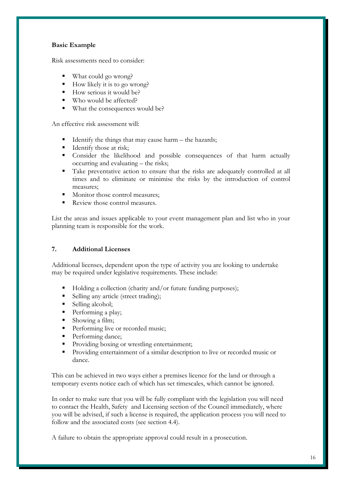#### **Basic Example**

Risk assessments need to consider:

- What could go wrong?
- How likely it is to go wrong?
- $\blacksquare$  How serious it would be?
- Who would be affected?
- What the consequences would be?

An effective risk assessment will:

- Identify the things that may cause harm the hazards;
- Identify those at risk;
- Consider the likelihood and possible consequences of that harm actually occurring and evaluating – the risks;
- Take preventative action to ensure that the risks are adequately controlled at all times and to eliminate or minimise the risks by the introduction of control measures;
- Monitor those control measures;
- Review those control measures.

List the areas and issues applicable to your event management plan and list who in your planning team is responsible for the work.

#### **7. Additional Licenses**

Additional licenses, dependent upon the type of activity you are looking to undertake may be required under legislative requirements. These include:

- Holding a collection (charity and/or future funding purposes);
- Selling any article (street trading);
- Selling alcohol;
- Performing a play;
- Showing a film;
- Performing live or recorded music;
- Performing dance;
- **Providing boxing or wrestling entertainment;**
- Providing entertainment of a similar description to live or recorded music or dance.

This can be achieved in two ways either a premises licence for the land or through a temporary events notice each of which has set timescales, which cannot be ignored.

In order to make sure that you will be fully compliant with the legislation you will need to contact the Health, Safety and Licensing section of the Council immediately, where you will be advised, if such a license is required, the application process you will need to follow and the associated costs (see section 4.4).

A failure to obtain the appropriate approval could result in a prosecution.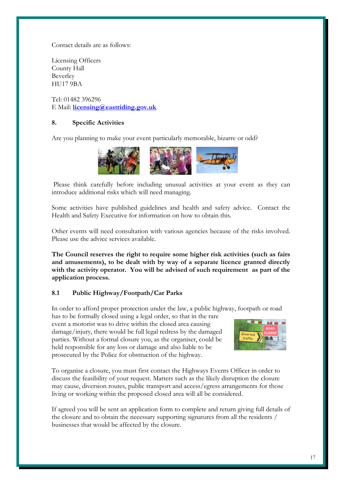Contact details are as follows:

Licensing Officers County Hall Beverley HU17 9BA

Tel: 01482 396296 E Mail: **[licensing@eastriding.gov.uk](mailto:licensing@eastriding.gov.uk)**

#### **8. Specific Activities**

Are you planning to make your event particularly memorable, bizarre or odd?



Please think carefully before including unusual activities at your event as they can introduce additional risks which will need managing.

Some activities have published guidelines and health and safety advice. Contact the Health and Safety Executive for information on how to obtain this.

Other events will need consultation with various agencies because of the risks involved. Please use the advice services available.

**The Council reserves the right to require some higher risk activities (such as fairs and amusements), to be dealt with by way of a separate licence granted directly with the activity operator. You will be advised of such requirement as part of the application process.** 

#### **8.1 Public Highway/Footpath/Car Parks**

In order to afford proper protection under the law, a public highway, footpath or road

has to be formally closed using a legal order, so that in the rare event a motorist was to drive within the closed area causing damage/injury, there would be full legal redress by the damaged parties. Without a formal closure you, as the organiser, could be held responsible for any loss or damage and also liable to be prosecuted by the Police for obstruction of the highway.



To organise a closure, you must first contact the Highways Events Officer in order to discuss the feasibility of your request. Matters such as the likely disruption the closure may cause, diversion routes, public transport and access/egress arrangements for those living or working within the proposed closed area will all be considered.

If agreed you will be sent an application form to complete and return giving full details of the closure and to obtain the necessary supporting signatures from all the residents / businesses that would be affected by the closure.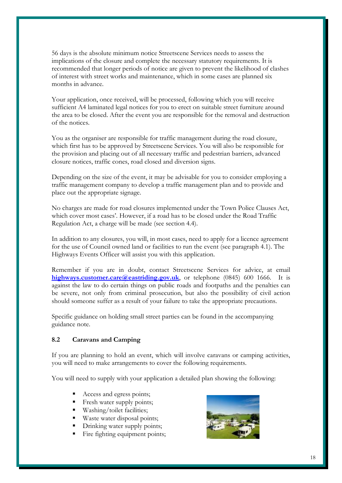56 days is the absolute minimum notice Streetscene Services needs to assess the implications of the closure and complete the necessary statutory requirements. It is recommended that longer periods of notice are given to prevent the likelihood of clashes of interest with street works and maintenance, which in some cases are planned six months in advance.

Your application, once received, will be processed, following which you will receive sufficient A4 laminated legal notices for you to erect on suitable street furniture around the area to be closed. After the event you are responsible for the removal and destruction of the notices.

You as the organiser are responsible for traffic management during the road closure, which first has to be approved by Streetscene Services. You will also be responsible for the provision and placing out of all necessary traffic and pedestrian barriers, advanced closure notices, traffic cones, road closed and diversion signs.

Depending on the size of the event, it may be advisable for you to consider employing a traffic management company to develop a traffic management plan and to provide and place out the appropriate signage.

No charges are made for road closures implemented under the Town Police Clauses Act, which cover most cases'. However, if a road has to be closed under the Road Traffic Regulation Act, a charge will be made (see section 4.4).

In addition to any closures, you will, in most cases, need to apply for a licence agreement for the use of Council owned land or facilities to run the event (see paragraph 4.1). The Highways Events Officer will assist you with this application.

Remember if you are in doubt, contact Streetscene Services for advice, at email **[highways.customer.care@eastriding.gov.uk](mailto:highways.customer.care@eastriding.gov.uk)**, or telephone (0845) 600 1666. It is against the law to do certain things on public roads and footpaths and the penalties can be severe, not only from criminal prosecution, but also the possibility of civil action should someone suffer as a result of your failure to take the appropriate precautions.

Specific guidance on holding small street parties can be found in the accompanying guidance note.

#### **8.2 Caravans and Camping**

If you are planning to hold an event, which will involve caravans or camping activities, you will need to make arrangements to cover the following requirements.

You will need to supply with your application a detailed plan showing the following:

- Access and egress points;
- Fresh water supply points;
- Washing/toilet facilities;
- Waste water disposal points;
- Drinking water supply points;
- Fire fighting equipment points;

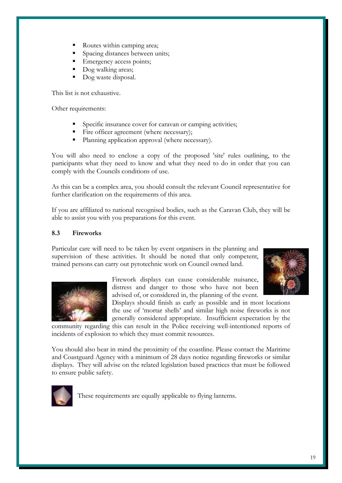- Routes within camping area;
- Spacing distances between units;
- Emergency access points;
- Dog walking areas;
- Dog waste disposal.

This list is not exhaustive.

Other requirements:

- Specific insurance cover for caravan or camping activities;
- Fire officer agreement (where necessary);
- Planning application approval (where necessary).

You will also need to enclose a copy of the proposed 'site' rules outlining, to the participants what they need to know and what they need to do in order that you can comply with the Councils conditions of use.

As this can be a complex area, you should consult the relevant Council representative for further clarification on the requirements of this area.

If you are affiliated to national recognised bodies, such as the Caravan Club, they will be able to assist you with you preparations for this event.

#### **8.3 Fireworks**

Particular care will need to be taken by event organisers in the planning and supervision of these activities. It should be noted that only competent, trained persons can carry out pyrotechnic work on Council owned land.



Firework displays can cause considerable nuisance, distress and danger to those who have not been advised of, or considered in, the planning of the event.

Displays should finish as early as possible and in most locations the use of 'mortar shells' and similar high noise fireworks is not generally considered appropriate. Insufficient expectation by the

community regarding this can result in the Police receiving well-intentioned reports of incidents of explosion to which they must commit resources.

You should also bear in mind the proximity of the coastline. Please contact the Maritime and Coastguard Agency with a minimum of 28 days notice regarding fireworks or similar displays. They will advise on the related legislation based practices that must be followed to ensure public safety.



These requirements are equally applicable to flying lanterns.

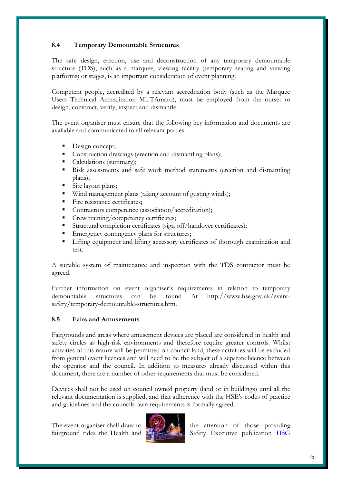#### **8.4 Temporary Demountable Structures**

The safe design, erection, use and deconstruction of any temporary demountable structure (TDS), such as a marquee, viewing facility (temporary seating and viewing platforms) or stages, is an important consideration of event planning.

Competent people, accredited by a relevant accreditation body (such as the Marquee Users Technical Accreditation MUTAmarq), must be employed from the outset to design, construct, verify, inspect and dismantle.

The event organiser must ensure that the following key information and documents are available and communicated to all relevant parties:

- Design concept;
- Construction drawings (erection and dismantling plans);
- Calculations (summary);
- Risk assessments and safe work method statements (erection and dismantling plans);
- Site layout plans;
- Wind management plans (taking account of gusting winds);
- Fire resistance certificates;
- Contractors competence (association/accreditation);
- Crew training/competency certificates;
- Structural completion certificates (sign off/handover certificates);
- Emergency contingency plans for structures;
- Lifting equipment and lifting accessory certificates of thorough examination and test.

A suitable system of maintenance and inspection with the TDS contractor must be agreed.

Further information on event organiser's requirements in relation to temporary demountable structures can be found At http://www.hse.gov.uk/eventsafety/temporary-demountable-structures.htm.

#### **8.5 Fairs and Amusements**

Fairgrounds and areas where amusement devices are placed are considered in health and safety circles as high-risk environments and therefore require greater controls. Whilst activities of this nature will be permitted on council land, these activities will be excluded from general event licences and will need to be the subject of a separate licence between the operator and the council**.** In addition to measures already discussed within this document, there are a number of other requirements that must be considered.

Devices shall not be used on council owned property (land or in buildings) until all the relevant documentation is supplied, and that adherence with the HSE's codes of practice and guidelines and the councils own requirements is formally agreed.



The event organiser shall draw to  $\mathbb{R}$  the attention of those providing fairground rides the Health and Safety Executive publication [HSG](http://www.hse.gov.uk/pubns/books/hsg175.htm)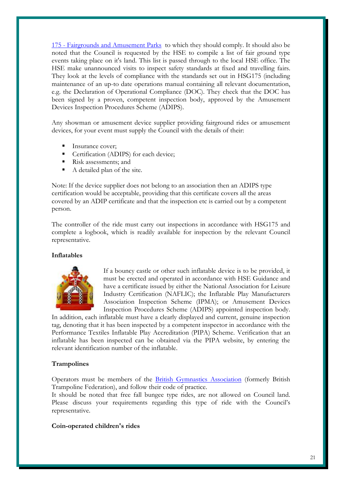175 - Fairgrounds and Amusement Parksto which they should comply. It should also be noted that the Council is requested by the HSE to compile a list of fair ground type events taking place on it's land. This list is passed through to the local HSE office. The HSE make unannounced visits to inspect safety standards at fixed and travelling fairs. They look at the levels of compliance with the standards set out in HSG175 (including maintenance of an up-to date operations manual containing all relevant documentation, e.g. the Declaration of Operational Compliance (DOC). They check that the DOC has been signed by a proven, competent inspection body, approved by the Amusement Devices Inspection Procedures Scheme (ADIPS).

Any showman or amusement device supplier providing fairground rides or amusement devices, for your event must supply the Council with the details of their:

- Insurance cover;
- **Certification (ADIPS) for each device;**
- Risk assessments; and
- A detailed plan of the site.

Note: If the device supplier does not belong to an association then an ADIPS type certification would be acceptable, providing that this certificate covers all the areas covered by an ADIP certificate and that the inspection etc is carried out by a competent person.

The controller of the ride must carry out inspections in accordance with HSG175 and complete a logbook, which is readily available for inspection by the relevant Council representative.

#### **Inflatables**



If a bouncy castle or other such inflatable device is to be provided, it must be erected and operated in accordance with HSE Guidance and have a certificate issued by either the National Association for Leisure Industry Certification (NAFLIC); the Inflatable Play Manufacturers Association Inspection Scheme (IPMA); or Amusement Devices Inspection Procedures Scheme (ADIPS) appointed inspection body.

In addition, each inflatable must have a clearly displayed and current, genuine inspection tag, denoting that it has been inspected by a competent inspector in accordance with the Performance Textiles Inflatable Play Accreditation (PIPA) Scheme. Verification that an inflatable has been inspected can be obtained via the PIPA website, by entering the relevant identification number of the inflatable.

#### **Trampolines**

Operators must be members of the [British Gymnastics Association](http://www.british-gymnastics.org/site/index.php?option=com_content&view=article&id=37&Itemid=101) (formerly British Trampoline Federation), and follow their code of practice.

It should be noted that free fall bungee type rides, are not allowed on Council land. Please discuss your requirements regarding this type of ride with the Council's representative.

#### **Coin-operated children's rides**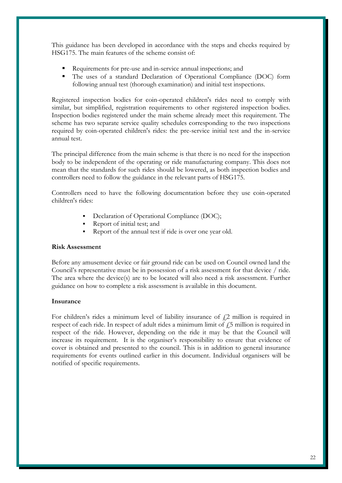This guidance has been developed in accordance with the steps and checks required by HSG175. The main features of the scheme consist of:

- Requirements for pre-use and in-service annual inspections; and
- The uses of a standard Declaration of Operational Compliance (DOC) form following annual test (thorough examination) and initial test inspections.

Registered inspection bodies for coin-operated children's rides need to comply with similar, but simplified, registration requirements to other registered inspection bodies. Inspection bodies registered under the main scheme already meet this requirement. The scheme has two separate service quality schedules corresponding to the two inspections required by coin-operated children's rides: the pre-service initial test and the in-service annual test.

The principal difference from the main scheme is that there is no need for the inspection body to be independent of the operating or ride manufacturing company. This does not mean that the standards for such rides should be lowered, as both inspection bodies and controllers need to follow the guidance in the relevant parts of HSG175.

Controllers need to have the following documentation before they use coin-operated children's rides:

- Declaration of Operational Compliance (DOC);
- Report of initial test; and
- Report of the annual test if ride is over one year old.

#### **Risk Assessment**

Before any amusement device or fair ground ride can be used on Council owned land the Council's representative must be in possession of a risk assessment for that device / ride. The area where the device(s) are to be located will also need a risk assessment. Further guidance on how to complete a risk assessment is available in this document.

#### **Insurance**

For children's rides a minimum level of liability insurance of  $\ell_2$  million is required in respect of each ride. In respect of adult rides a minimum limit of  $\ddot{1}$  5 million is required in respect of the ride. However, depending on the ride it may be that the Council will increase its requirement. It is the organiser's responsibility to ensure that evidence of cover is obtained and presented to the council. This is in addition to general insurance requirements for events outlined earlier in this document. Individual organisers will be notified of specific requirements.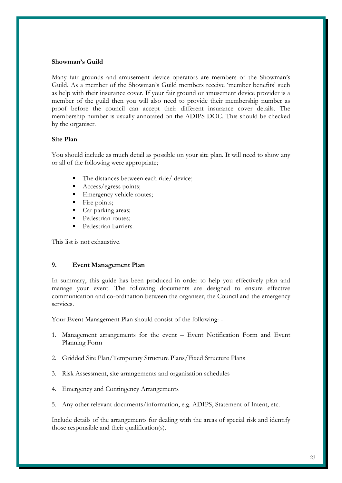#### **Showman's Guild**

Many fair grounds and amusement device operators are members of the Showman's Guild. As a member of the Showman's Guild members receive 'member benefits' such as help with their insurance cover. If your fair ground or amusement device provider is a member of the guild then you will also need to provide their membership number as proof before the council can accept their different insurance cover details. The membership number is usually annotated on the ADIPS DOC. This should be checked by the organiser.

#### **Site Plan**

You should include as much detail as possible on your site plan. It will need to show any or all of the following were appropriate;

- The distances between each ride/ device;
- Access/egress points;
- Emergency vehicle routes;
- Fire points;
- Car parking areas;
- Pedestrian routes;
- Pedestrian barriers.

This list is not exhaustive.

#### **9. Event Management Plan**

In summary, this guide has been produced in order to help you effectively plan and manage your event. The following documents are designed to ensure effective communication and co-ordination between the organiser, the Council and the emergency services.

Your Event Management Plan should consist of the following: -

- 1. Management arrangements for the event Event Notification Form and Event Planning Form
- 2. Gridded Site Plan/Temporary Structure Plans/Fixed Structure Plans
- 3. Risk Assessment, site arrangements and organisation schedules
- 4. Emergency and Contingency Arrangements
- 5. Any other relevant documents/information, e.g. ADIPS, Statement of Intent, etc.

Include details of the arrangements for dealing with the areas of special risk and identify those responsible and their qualification(s).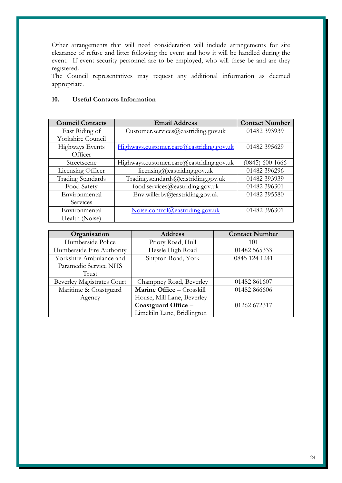Other arrangements that will need consideration will include arrangements for site clearance of refuse and litter following the event and how it will be handled during the event. If event security personnel are to be employed, who will these be and are they registered.

The Council representatives may request any additional information as deemed appropriate.

| <b>Council Contacts</b>  | <b>Email Address</b>                     | <b>Contact Number</b> |
|--------------------------|------------------------------------------|-----------------------|
| East Riding of           | Customer.services@eastriding.gov.uk      | 01482 393939          |
| Yorkshire Council        |                                          |                       |
| <b>Highways Events</b>   | Highways.customer.care@eastriding.gov.uk | 01482 395629          |
| Officer                  |                                          |                       |
| Streetscene              | Highways.customer.care@eastriding.gov.uk | $(0845)$ 600 1666     |
| Licensing Officer        | licensing@easting@gov.uk                 | 01482 396296          |
| <b>Trading Standards</b> | Trading.standards@eastriding.gov.uk      | 01482 393939          |
| Food Safety              | food.services@eastriding.gov.uk          | 01482 396301          |
| Environmental            | Env.willerby@eastriding.gov.uk           | 01482 395580          |
| Services                 |                                          |                       |
| Environmental            | Noise.control@eastriding.gov.uk          | 01482 396301          |
| Health (Noise)           |                                          |                       |

#### **10. Useful Contacts Information**

| Organisation                      | <b>Address</b>             | <b>Contact Number</b> |
|-----------------------------------|----------------------------|-----------------------|
| Humberside Police                 | Priory Road, Hull          | 101                   |
| Humberside Fire Authority         | Hessle High Road           | 01482 565333          |
| Yorkshire Ambulance and           | Shipton Road, York         | 0845 124 1241         |
| Paramedic Service NHS             |                            |                       |
| Trust                             |                            |                       |
| <b>Beverley Magistrates Court</b> | Champney Road, Beverley    | 01482 861607          |
| Maritime & Coastguard             | Marine Office - Crosskill  | 01482 866606          |
| Agency                            | House, Mill Lane, Beverley |                       |
|                                   | Coastguard Office -        | 01262 672317          |
|                                   | Limekiln Lane, Bridlington |                       |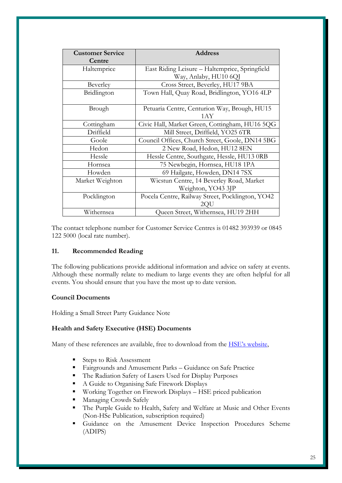| <b>Customer Service</b><br>Centre | <b>Address</b>                                      |
|-----------------------------------|-----------------------------------------------------|
| Haltemprice                       | East Riding Leisure - Haltemprice, Springfield      |
|                                   | Way, Anlaby, HU10 6QJ                               |
| Beverley                          | Cross Street, Beverley, HU17 9BA                    |
| Bridlington                       | Town Hall, Quay Road, Bridlington, YO16 4LP         |
| Brough                            | Petuaria Centre, Centurion Way, Brough, HU15<br>1AY |
| Cottingham                        | Civic Hall, Market Green, Cottingham, HU16 5QG      |
| Driffield                         | Mill Street, Driffield, YO25 6TR                    |
| Goole                             | Council Offices, Church Street, Goole, DN14 5BG     |
| Hedon                             | 2 New Road, Hedon, HU12 8EN                         |
| Hessle                            | Hessle Centre, Southgate, Hessle, HU13 0RB          |
| Hornsea                           | 75 Newbegin, Hornsea, HU18 1PA                      |
| Howden                            | 69 Hailgate, Howden, DN14 7SX                       |
| Market Weighton                   | Wicstun Centre, 14 Beverley Road, Market            |
|                                   | Weighton, YO43 3JP                                  |
| Pocklington                       | Pocela Centre, Railway Street, Pocklington, YO42    |
|                                   | 2OU                                                 |
| Withernsea                        | Queen Street, Withernsea, HU19 2HH                  |

The contact telephone number for Customer Service Centres is 01482 393939 or 0845 122 5000 (local rate number).

#### **11. Recommended Reading**

The following publications provide additional information and advice on safety at events. Although these normally relate to medium to large events they are often helpful for all events. You should ensure that you have the most up to date version.

#### **Council Documents**

Holding a Small Street Party Guidance Note

#### **Health and Safety Executive (HSE) Documents**

Many of these references are available, free to download from the **HSE's website**,

- Steps to Risk Assessment
- Fairgrounds and Amusement Parks Guidance on Safe Practice
- The Radiation Safety of Lasers Used for Display Purposes
- A Guide to Organising Safe Firework Displays
- Working Together on Firework Displays HSE priced publication
- Managing Crowds Safely
- The Purple Guide to Health, Safety and Welfare at Music and Other Events (Non-HSe Publication, subscription required)
- Guidance on the Amusement Device Inspection Procedures Scheme (ADIPS)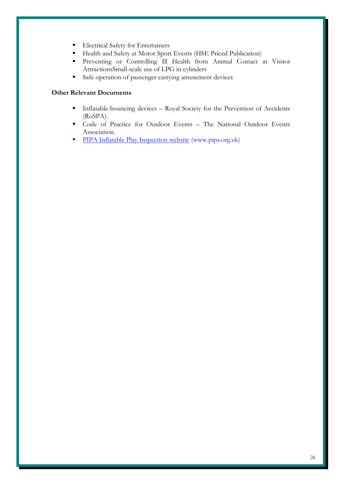- **Electrical Safety for Entertainers**
- Health and Safety at Motor Sport Events (HSE Priced Publication)
- Preventing or Controlling Ill Health from Animal Contact at Visitor AttractionsSmall-scale use of LPG in cylinders
- Safe operation of passenger carrying amusement devices

#### **Other Relevant Documents**

- **Inflatable-bouncing devices Royal Society for the Prevention of Accidents** (RoSPA).
- Code of Practice for Outdoor Events The National Outdoor Events Association.
- [PIPA Inflatable Play Inspection website](http://www.pipa.org.uk/) (www.pipa.org.uk)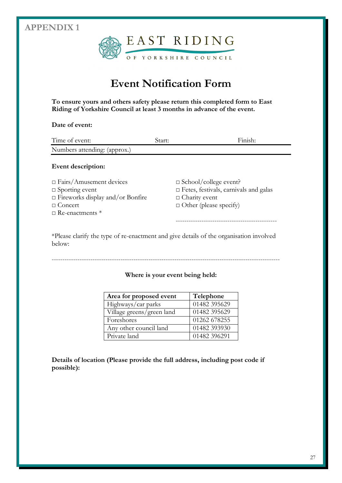### **APPENDIX 1**



## **Event Notification Form**

**To ensure yours and others safety please return this completed form to East Riding of Yorkshire Council at least 3 months in advance of the event.**

#### **Date of event:**

| Time of event:                          | Start: | Finish:                                      |
|-----------------------------------------|--------|----------------------------------------------|
| Numbers attending: (approx.)            |        |                                              |
| Event description:                      |        |                                              |
| $\Box$ Fairs/Amusement devices          |        | $\Box$ School/college event?                 |
| $\Box$ Sporting event                   |        | $\Box$ Fetes, festivals, carnivals and galas |
| $\Box$ Fireworks display and/or Bonfire |        | $\Box$ Charity event                         |

----------------------------------------------------------------------------------------------------------

□ Concert □ Other (please specify)

 $\Box$  Re-enactments  $*$ 

-----------------------------------------------

\*Please clarify the type of re-enactment and give details of the organisation involved below:

#### **Where is your event being held:**

| Area for proposed event   | Telephone    |
|---------------------------|--------------|
| Highways/car parks        | 01482 395629 |
| Village greens/green land | 01482 395629 |
| Foreshores                | 01262 678255 |
| Any other council land    | 01482 393930 |
| Private land              | 01482 396291 |

**Details of location (Please provide the full address, including post code if possible):**